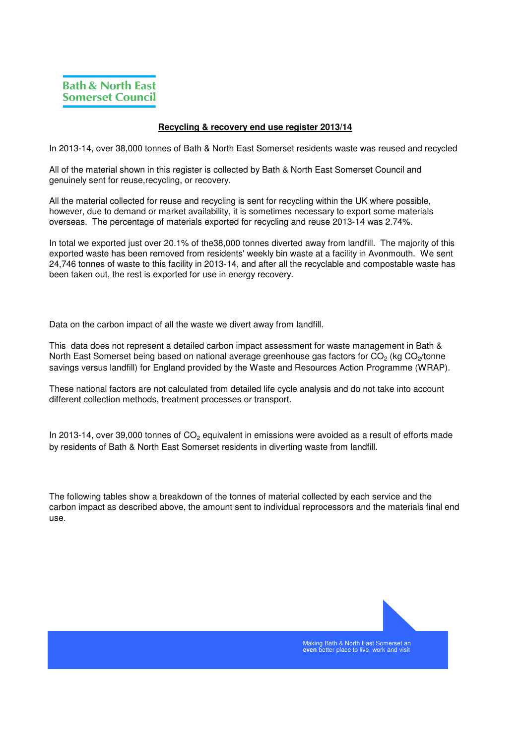## **Recycling & recovery end use register 2013/14**

In 2013-14, over 38,000 tonnes of Bath & North East Somerset residents waste was reused and recycled

All of the material shown in this register is collected by Bath & North East Somerset Council and genuinely sent for reuse,recycling, or recovery.

All the material collected for reuse and recycling is sent for recycling within the UK where possible, however, due to demand or market availability, it is sometimes necessary to export some materials overseas. The percentage of materials exported for recycling and reuse 2013-14 was 2.74%.

In total we exported just over 20.1% of the38,000 tonnes diverted away from landfill. The majority of this exported waste has been removed from residents' weekly bin waste at a facility in Avonmouth. We sent 24,746 tonnes of waste to this facility in 2013-14, and after all the recyclable and compostable waste has been taken out, the rest is exported for use in energy recovery.

Data on the carbon impact of all the waste we divert away from landfill.

This data does not represent a detailed carbon impact assessment for waste management in Bath & North East Somerset being based on national average greenhouse gas factors for CO<sub>2</sub> (kg CO<sub>2</sub>/tonne savings versus landfill) for England provided by the Waste and Resources Action Programme (WRAP).

These national factors are not calculated from detailed life cycle analysis and do not take into account different collection methods, treatment processes or transport.

In 2013-14, over 39,000 tonnes of  $CO<sub>2</sub>$  equivalent in emissions were avoided as a result of efforts made by residents of Bath & North East Somerset residents in diverting waste from landfill.

The following tables show a breakdown of the tonnes of material collected by each service and the carbon impact as described above, the amount sent to individual reprocessors and the materials final end use.



Making Bath & North East Somerset an **even** better place to live, work and visit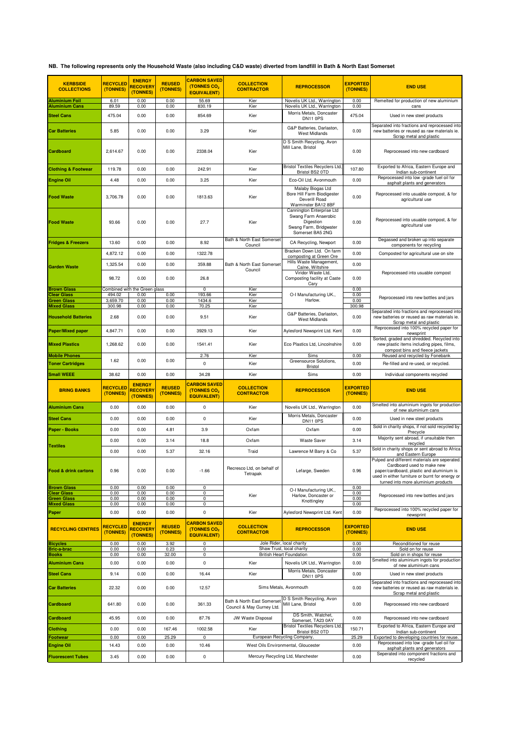**NB. The following represents only the Household Waste (also including C&D waste) diverted from landfill in Bath & North East Somerset**

| <b>KERBSIDE</b><br><b>COLLECTIONS</b>                   | <b>RECYCLED</b><br>(TONNES) | <b>ENERGY</b><br><b>RECOVERY</b><br>(TONNES) | <b>REUSED</b><br>(TONNES) | <b>CARBON SAVED</b><br>(TONNES CO <sub>2</sub><br><b>EQUIVALENT)</b> | <b>COLLECTION</b><br><b>CONTRACTOR</b>                  | <b>REPROCESSOR</b>                                                                                           | <b>EXPORTED</b><br>(TONNES) | <b>END USE</b>                                                                                                                                                                                                     |  |
|---------------------------------------------------------|-----------------------------|----------------------------------------------|---------------------------|----------------------------------------------------------------------|---------------------------------------------------------|--------------------------------------------------------------------------------------------------------------|-----------------------------|--------------------------------------------------------------------------------------------------------------------------------------------------------------------------------------------------------------------|--|
| <b>Aluminium Foil</b>                                   | 6.01                        | 0.00                                         | 0.00                      | 55.69                                                                | Kier                                                    | Novelis UK Ltd., Warrington                                                                                  | 0.00                        | Remelted for production of new aluminium                                                                                                                                                                           |  |
| <b>Aluminium Cans</b><br><b>Steel Cans</b>              | 89.59<br>475.04             | 0.00<br>0.00                                 | 0.00<br>0.00              | 830.19<br>854.69                                                     | Kier<br>Kier                                            | Novelis UK Ltd., Warrington<br>Morris Metals, Doncaster<br>DN11 0PS                                          | 0.00<br>475.04              | cans<br>Used in new steel products                                                                                                                                                                                 |  |
| <b>Car Batteries</b>                                    | 5.85                        | 0.00                                         | 0.00                      | 3.29                                                                 | Kier                                                    | G&P Batteries, Darlaston,<br><b>West Midlands</b>                                                            | 0.00                        | Separated into fractions and reprocessed into<br>new batteries or reused as raw materials ie.<br>Scrap metal and plastic                                                                                           |  |
| <b>Cardboard</b>                                        | 2,614.67                    | 0.00                                         | 0.00                      | 2338.04                                                              | Kier                                                    | D S Smith Recycling, Avon<br>Mill Lane, Bristol                                                              | 0.00                        | Reprocessed into new cardboard                                                                                                                                                                                     |  |
| <b>Clothing &amp; Footwear</b>                          | 119.78                      | 0.00                                         | 0.00                      | 242.91                                                               | Kier                                                    | <b>Bristol Textiles Recyclers Ltd.</b><br>Bristol BS2 0TD                                                    | 107.80                      | Exported to Africa, Eastern Europe and<br>Indian sub-continent                                                                                                                                                     |  |
| <b>Engine Oil</b>                                       | 4.48                        | 0.00                                         | 0.00                      | 3.25                                                                 | Kier                                                    | Eco-Oil Ltd, Avonmouth                                                                                       | 0.00                        | Reprocessed into low -grade fuel oil for<br>asphalt plants and generators                                                                                                                                          |  |
| <b>Food Waste</b>                                       | 3.706.78                    | 0.00                                         | 0.00                      | 1813.63                                                              | Kier                                                    | Malaby Biogas Ltd<br>Bore Hill Farm Biodigester<br>Deverill Road<br>Warminster BA12 8BF                      | 0.00                        | Reprocessed into usuable compost, & for<br>agricultural use                                                                                                                                                        |  |
| <b>Food Waste</b>                                       | 93.66                       | 0.00                                         | 0.00                      | 27.7                                                                 | Kier                                                    | Cannington Enterprise Ltd<br>Swang Farm Anaerobic<br>Digestion<br>Swang Farm, Bridgwater<br>Somerset BA5 2NG | 0.00                        | Reprocessed into usuable compost, & for<br>agricultural use                                                                                                                                                        |  |
| <b>Fridges &amp; Freezers</b>                           | 13.60                       | 0.00                                         | 0.00                      | 8.92                                                                 | Bath & North East Somerset<br>Council                   | CA Recycling, Newport                                                                                        | 0.00                        | Degassed and broken up into separate<br>components for recycling                                                                                                                                                   |  |
|                                                         | 4,872.12                    | 0.00                                         | 0.00                      | 1322.78                                                              |                                                         | Bracken Down Ltd. On farm<br>composting at Green Ore                                                         | 0.00                        | Composted for agricultural use on site                                                                                                                                                                             |  |
| <b>Garden Waste</b>                                     | 1,325.54                    | 0.00                                         | 0.00                      | 359.88                                                               | Bath & North East Somerset                              | Hills Waste Management,<br>Calne, Wiltshire                                                                  | 0.00                        |                                                                                                                                                                                                                    |  |
| <b>Brown Glass</b>                                      | 98.72                       | 0.00<br>Combined with the Green glass        | 0.00                      | 26.8<br>$\mathbf 0$                                                  | Council<br>Kier                                         | Viridor Waste Ltd,<br>Composting facility at Caste<br>Cary                                                   | 0.00<br>0.00                | Reprocessed into usuable compost                                                                                                                                                                                   |  |
| Clear Glass                                             | 494.02                      | 0.00                                         | 0.00                      | 193.66                                                               | Kier                                                    | O-I Manufacturing UK.,                                                                                       | 0.00                        | Reprocessed into new bottles and jars                                                                                                                                                                              |  |
| <b>Green Glass</b><br><b>Mixed Glass</b>                | 3,659.70<br>300.98          | 0.00<br>0.00                                 | 0.00<br>0.00              | 1434.6<br>70.25                                                      | Kier<br>Kier                                            | Harlow.                                                                                                      | 0.00<br>300.98              |                                                                                                                                                                                                                    |  |
| <b>Household Batteries</b>                              | 2.68                        | 0.00                                         | 0.00                      | 9.51                                                                 | Kier                                                    | G&P Batteries, Darlaston,<br>West Midlands                                                                   | 0.00                        | Separated into fractions and reprocessed into<br>new batteries or reused as raw materials ie.<br>Scrap metal and plastic                                                                                           |  |
| <b>Paper/Mixed paper</b>                                | 4,847.71                    | 0.00                                         | 0.00                      | 3929.13                                                              | Kier                                                    | Aylesford Newsprint Ltd. Kent                                                                                | 0.00                        | Reprocessed into 100% recycled paper for<br>newsprint                                                                                                                                                              |  |
| <b>Mixed Plastics</b>                                   | 1,268.62                    | 0.00                                         | 0.00                      | 1541.41                                                              | Kier                                                    | Eco Plastics Ltd, Lincolnshire                                                                               | 0.00                        | Sorted, graded and shredded. Recycled into<br>new plastic items including pipes, films,<br>compost bins and fleece jackets                                                                                         |  |
| <b>Mobile Phones</b>                                    | 1.62                        | 0.00                                         | 0.00                      | 2.76                                                                 | Kier                                                    | Sims<br>Greensource Solutions,                                                                               | 0.00                        | Reused and recycled by Fonebank                                                                                                                                                                                    |  |
| <b>Toner Cartridges</b>                                 |                             |                                              |                           | 0                                                                    | Kier                                                    | <b>Bristol</b>                                                                                               | 0.00                        | Re-filled and re-used, or recycled.                                                                                                                                                                                |  |
| <b>Small WEEE</b>                                       | 38.62                       | 0.00                                         | 0.00                      | 34.28                                                                | Kier                                                    | Sims                                                                                                         | 0.00                        | Individual components recycled                                                                                                                                                                                     |  |
| <b>BRING BANKS</b>                                      | <b>RECYCLED</b><br>(TONNES) | <b>ENERGY</b><br><b>RECOVERY</b><br>(TONNES) | <b>REUSED</b><br>(TONNES) | <b>CARBON SAVED</b><br>(TONNES CO <sub>2</sub><br><b>EQUIVALENT)</b> | <b>COLLECTION</b><br><b>CONTRACTOR</b>                  | <b>REPROCESSOR</b>                                                                                           | <b>EXPORTED</b><br>(TONNES) | <b>END USE</b>                                                                                                                                                                                                     |  |
| <b>Aluminium Cans</b>                                   | 0.00                        | 0.00                                         | 0.00                      | 0                                                                    | Kier                                                    | Novelis UK Ltd., Warrington                                                                                  | 0.00                        | Smelted into aluminium ingots for production<br>of new aluminium cans                                                                                                                                              |  |
| <b>Steel Cans</b>                                       | 0.00                        | 0.00                                         | 0.00                      | 0                                                                    | Kier                                                    | Morris Metals, Doncaster<br>DN11 0PS                                                                         | 0.00                        | Used in new steel products                                                                                                                                                                                         |  |
| Paper - Books                                           | 0.00                        | 0.00                                         | 4.81                      | 3.9                                                                  | Oxfam                                                   | Oxfam                                                                                                        | 0.00                        | Sold in charity shops, if not sold recycled by<br>Precycle                                                                                                                                                         |  |
| <b>Textiles</b>                                         | 0.00                        | 0.00                                         | 3.14                      | 18.8                                                                 | Oxfam                                                   | <b>Waste Saver</b>                                                                                           | 3.14                        | Majority sent abroad, if unsuitable then<br>recycled                                                                                                                                                               |  |
|                                                         | 0.00                        | 0.00                                         | 5.37                      | 32.16                                                                | Traid                                                   | Lawrence M Barry & Co                                                                                        | 5.37                        | Sold in charity shops or sent abroad to Africa<br>and Eastern Europe                                                                                                                                               |  |
| <b>Food &amp; drink cartons</b>                         | 0.96                        | 0.00                                         | 0.00                      | $-1.66$                                                              | Recresco Ltd, on behalf of<br>Tetrapak                  | Lefarge, Sweden                                                                                              | 0.96                        | Pulped and different materials are seperated.<br>Cardboard used to make new<br>paper/cardboard, plastic and aluminium is<br>used in either furniture or burnt for energy or<br>turned into more aluminium products |  |
| <b>Brown Glass</b><br>Clear Glass<br><b>Green Glass</b> | 0.00<br>0.00<br>0.00        | 0.00<br>0.00<br>0.00                         | 0.00<br>0.00<br>0.00      | $\mathsf 0$<br>0<br>0                                                | Kier                                                    | O-I Manufacturing UK.,<br>Harlow, Doncaster or<br>Knottingley                                                | 0.00<br>0.00<br>0.00        | Reprocessed into new bottles and jars                                                                                                                                                                              |  |
| <b>Mixed Glass</b><br>Paper                             | 0.00<br>0.00                | 0.00<br>0.00                                 | 0.00<br>0.00              | 0<br>$\pmb{0}$                                                       | Kier                                                    | Aylesford Newsprint Ltd. Kent                                                                                | 0.00<br>0.00                | Reprocessed into 100% recycled paper for                                                                                                                                                                           |  |
| <b>RECYCLING CENTRES</b>                                | <b>RECYCLED</b><br>(TONNES) | <b>ENERGY</b><br><b>RECOVER</b><br>(TONNES)  | <b>REUSED</b><br>(TONNES) | <b>CARBON SAVED</b><br>(TONNES CO <sub>2</sub><br><b>EQUIVALENT)</b> | <b>COLLECTION</b><br><b>CONTRACTOR</b>                  | <b>REPROCESSOR</b>                                                                                           | <b>EXPORTED</b><br>(TONNES) | newsprint<br><b>END USE</b>                                                                                                                                                                                        |  |
| <b>Bicycles</b>                                         | 0.00                        | 0.00                                         | 3.92                      | $\mathbf 0$                                                          |                                                         | Jole Rider, local charity                                                                                    | 0.00                        | Reconditioned for reuse                                                                                                                                                                                            |  |
| <b>Bric-a-brac</b><br><b>Books</b>                      | 0.00<br>0.00                | 0.00<br>0.00                                 | 0.23<br>32.00             | 0<br>0                                                               |                                                         | Shaw Trust, local charity<br><b>British Heart Foundation</b>                                                 | 0.00<br>0.00                | Sold on for reuse<br>Sold on in shops for reuse                                                                                                                                                                    |  |
| <b>Aluminium Cans</b>                                   | 0.00                        | 0.00                                         | 0.00                      | 0                                                                    | Kier                                                    | Novelis UK Ltd., Warrington                                                                                  | 0.00                        | Smelted into aluminium ingots for production<br>of new aluminium cans                                                                                                                                              |  |
| <b>Steel Cans</b>                                       | 9.14                        | 0.00                                         | 0.00                      | 16.44                                                                | Kier                                                    | Morris Metals, Doncaster                                                                                     | 0.00                        | Used in new steel products                                                                                                                                                                                         |  |
| <b>Car Batteries</b>                                    | 22.32                       | 0.00                                         | 0.00                      | 12.57                                                                |                                                         | DN11 0PS<br>Sims Metals, Avonmouth                                                                           | 0.00                        | Separated into fractions and reprocessed into<br>new batteries or reused as raw materials ie.<br>Scrap metal and plastic                                                                                           |  |
| <b>Cardboard</b>                                        | 641.80                      | 0.00                                         | 0.00                      | 361.33                                                               | Bath & North East Somerset<br>Council & May Gurney Ltd. | D S Smith Recycling, Avon<br>Mill Lane, Bristol                                                              | 0.00                        | Reprocessed into new cardboard                                                                                                                                                                                     |  |
| <b>Cardboard</b>                                        | 45.95                       | 0.00                                         | 0.00                      | 87.76                                                                | <b>JW Waste Disposal</b>                                | DS Smith, Watchet,<br>Somerset, TA23 0AY                                                                     | 0.00                        | Reprocessed into new cardboard                                                                                                                                                                                     |  |
| <b>Clothing</b>                                         | 0.00                        | 0.00                                         | 167.46                    | 1002.58                                                              | Kier                                                    | <b>Bristol Textiles Recyclers Ltd,</b><br>Bristol BS2 0TD                                                    | 150.71                      | Exported to Africa, Eastern Europe and<br>Indian sub-continent                                                                                                                                                     |  |
| Footwear<br><b>Engine Oil</b>                           | 0.00                        | 0.00<br>0.00                                 | 25.29                     | 0                                                                    |                                                         | European Recycling Company<br>West Oils Environmental, Gloucester                                            | 25.29<br>0.00               | Exported to developing countries for reuse.<br>Reprocessed into low -grade fuel oil for                                                                                                                            |  |
| <b>Fluorescent Tubes</b>                                | 14.43<br>3.45               | 0.00                                         | 0.00<br>0.00              | 10.46<br>$\mathsf 0$                                                 |                                                         | Mercury Recycling Ltd, Manchester                                                                            | 0.00                        | asphalt plants and generators<br>Seperated into component fractions and<br>recycled                                                                                                                                |  |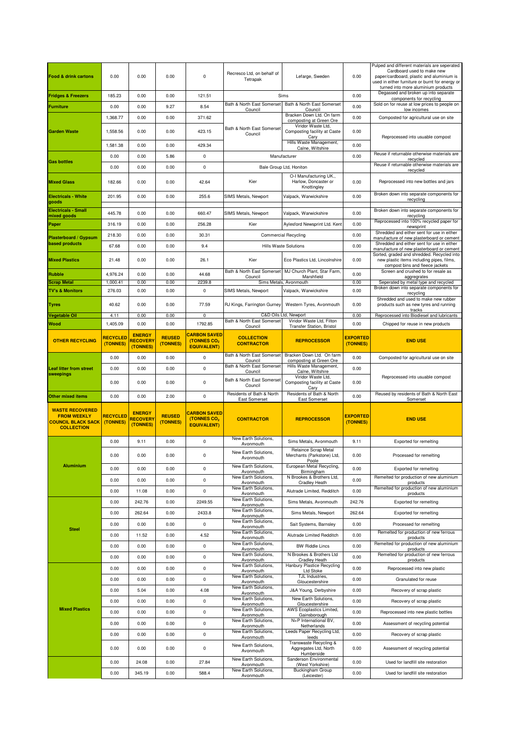| <b>Food &amp; drink cartons</b>                                                                | 0.00                        | 0.00                                         | 0.00                      | 0                                                                    | Recresco Ltd, on behalf of<br>Tetrapak                    | Lefarge, Sweden                                                                       | 0.00                        | Pulped and different materials are seperated.<br>Cardboard used to make new<br>paper/cardboard, plastic and aluminium is<br>used in either furniture or burnt for energy or<br>turned into more aluminium products |  |
|------------------------------------------------------------------------------------------------|-----------------------------|----------------------------------------------|---------------------------|----------------------------------------------------------------------|-----------------------------------------------------------|---------------------------------------------------------------------------------------|-----------------------------|--------------------------------------------------------------------------------------------------------------------------------------------------------------------------------------------------------------------|--|
| <b>Fridges &amp; Freezers</b>                                                                  | 185.23                      | 0.00                                         | 0.00                      | 121.51                                                               | Sims                                                      |                                                                                       | 0.00                        | Degassed and broken up into separate<br>components for recycling                                                                                                                                                   |  |
| <b>Furniture</b>                                                                               | 0.00                        | 0.00                                         | 9.27                      | 8.54                                                                 | Bath & North East Somerset                                | Bath & North East Somerset                                                            | 0.00                        | Sold on for reuse at low prices to people on                                                                                                                                                                       |  |
|                                                                                                | 1,368.77                    | 0.00                                         | 0.00                      | 371.62                                                               | Council                                                   | Council<br>Bracken Down Ltd. On farm                                                  | 0.00                        | low incomes<br>Composted for agricultural use on site                                                                                                                                                              |  |
| <b>Garden Waste</b>                                                                            | 1,558.56                    | 0.00                                         | 0.00                      | 423.15                                                               | Bath & North East Somerset<br>Council                     | composting at Green Ore<br>Viridor Waste Ltd.<br>Composting facility at Caste<br>Cary | 0.00                        | Reprocessed into usuable compost                                                                                                                                                                                   |  |
|                                                                                                | 1,581.38                    | 0.00                                         | 0.00                      | 429.34                                                               |                                                           | Hills Waste Management,<br>Calne, Wiltshire                                           | 0.00                        |                                                                                                                                                                                                                    |  |
|                                                                                                | 0.00                        | 0.00                                         | 5.86                      | 0                                                                    |                                                           | Manufacturer                                                                          | 0.00                        | Reuse if returnable otherwise materials are                                                                                                                                                                        |  |
| <b>Gas bottles</b>                                                                             | 0.00                        | 0.00                                         | 0.00                      | 0                                                                    |                                                           | Bale Group Ltd, Honiton                                                               |                             | recycled<br>Reuse if returnable otherwise materials are                                                                                                                                                            |  |
| <b>Mixed Glass</b>                                                                             | 182.66                      | 0.00                                         | 0.00                      | 42.64                                                                | Kier                                                      | O-I Manufacturing UK.,<br>Harlow. Doncaster or<br>Knottingley                         | 0.00                        | recycled<br>Reprocessed into new bottles and jars                                                                                                                                                                  |  |
| <b>Electricals - White</b><br>goods                                                            | 201.95                      | 0.00                                         | 0.00                      | 255.6                                                                | SIMS Metals, Newport                                      | Valpack, Warwickshire                                                                 | 0.00                        | Broken down into separate components for<br>recycling                                                                                                                                                              |  |
| <b>Electricals - Small</b>                                                                     | 445.78                      | 0.00                                         | 0.00                      | 660.47                                                               | SIMS Metals, Newport                                      | Valpack, Warwickshire                                                                 | 0.00                        | Broken down into separate components for                                                                                                                                                                           |  |
| mixed goods                                                                                    | 316.19                      | 0.00                                         | 0.00                      | 256.28                                                               | Kier                                                      | Aylesford Newsprint Ltd. Kent                                                         | 0.00                        | recycling<br>Reprocessed into 100% recycled paper for                                                                                                                                                              |  |
| Paper                                                                                          |                             | 0.00                                         |                           | 30.31                                                                |                                                           | <b>Commercial Recycling</b>                                                           | 0.00                        | newsprint<br>Shredded and either sent for use in either                                                                                                                                                            |  |
| <b>Plasterboard / Gypsum</b><br><b>based products</b>                                          | 218.30                      |                                              | 0.00                      |                                                                      |                                                           |                                                                                       |                             | manufacture of new plasterboard or cement<br>Shredded and either sent for use in either                                                                                                                            |  |
|                                                                                                | 67.68                       | 0.00                                         | 0.00                      | 9.4                                                                  |                                                           | <b>Hills Waste Solutions</b>                                                          | 0.00                        | manufacture of new plasterboard or cement<br>Sorted, graded and shredded. Recycled into                                                                                                                            |  |
| <b>Mixed Plastics</b>                                                                          | 21.48                       | 0.00                                         | 0.00                      | 26.1                                                                 | Kier                                                      | Eco Plastics Ltd. Lincolnshire                                                        | 0.00                        | new plastic items including pipes, films,<br>compost bins and fleece jackets                                                                                                                                       |  |
| Rubble                                                                                         | 4,976.24                    | 0.00                                         | 0.00                      | 44.68                                                                | Bath & North East Somerset<br>Council                     | MJ Church Plant, Star Farm,<br>Marshfield                                             | 0.00                        | Screen and crushed to for resale as<br>aggregrates                                                                                                                                                                 |  |
| <b>Scrap Metal</b>                                                                             | 1,000.41                    | 0.00                                         | 0.00                      | 2239.8                                                               |                                                           | Sims Metals, Avonmouth                                                                | 0.00                        | Seperated by metal type and recycled<br>Broken down into separate components for                                                                                                                                   |  |
| <b>TV's &amp; Monitors</b>                                                                     | 276.03                      | 0.00                                         | 0.00                      | 0                                                                    | SIMS Metals, Newport                                      | Valpack, Warwickshire                                                                 | 0.00                        | recycling<br>Shredded and used to make new rubber                                                                                                                                                                  |  |
| Tyres<br>Vegetable Oil                                                                         | 40.62                       | 0.00<br>0.00                                 | 0.00                      | 77.59                                                                | RJ Kings, Farrington Gurney                               | Western Tyres, Avonmouth<br>C&D Oils Ltd, Newport                                     | 0.00<br>0.00                | products such as new tyres and running<br>tracks                                                                                                                                                                   |  |
| Wood                                                                                           | 4.11<br>1,405.09            | 0.00                                         | 0.00<br>0.00              | 0<br>1792.85                                                         | Bath & North East Somerset                                | Viridor Waste Ltd, Filton                                                             | 0.00                        | Reprocessed into Biodiesel and lubricants<br>Chipped for reuse in new products                                                                                                                                     |  |
| <b>OTHER RECYCLING</b>                                                                         | <b>RECYCLED</b><br>(TONNES) | <b>ENERGY</b><br><b>RECOVERY</b><br>(TONNES) | <b>REUSED</b><br>(TONNES) | <b>CARBON SAVED</b><br>(TONNES CO <sub>2</sub><br><b>EQUIVALENT)</b> | Council<br><b>COLLECTION</b><br><b>CONTRACTOR</b>         | <b>Transfer Station, Bristol</b><br><b>REPROCESSOR</b>                                | <b>EXPORTED</b><br>(TONNES) | <b>END USE</b>                                                                                                                                                                                                     |  |
|                                                                                                | 0.00                        | 0.00                                         | 0.00                      | $\mathsf 0$                                                          | Bath & North East Somerset                                | Bracken Down Ltd. On farm                                                             | 0.00                        | Composted for agricultural use on site                                                                                                                                                                             |  |
| <b>Leaf litter from street</b>                                                                 | 0.00                        | 0.00                                         | 0.00                      | 0                                                                    | Council<br>Bath & North East Somerset                     | composting at Green Ore<br>Hills Waste Management,                                    | 0.00                        |                                                                                                                                                                                                                    |  |
| sweepings                                                                                      |                             |                                              |                           |                                                                      | Council                                                   | Calne, Wiltshire<br>Viridor Waste Ltd,                                                |                             |                                                                                                                                                                                                                    |  |
|                                                                                                |                             |                                              |                           |                                                                      |                                                           |                                                                                       |                             | Reprocessed into usuable compost                                                                                                                                                                                   |  |
|                                                                                                | 0.00                        | 0.00                                         | 0.00                      | 0                                                                    | Bath & North East Somerset<br>Council                     | Composting facility at Caste<br>Cary                                                  | 0.00                        |                                                                                                                                                                                                                    |  |
| <b>Other mixed items</b>                                                                       | 0.00                        | 0.00                                         | 2.00                      | 0                                                                    | Residents of Bath & North<br><b>East Somerset</b>         | Residents of Bath & North<br>East Somerset                                            | 0.00                        | Reused by residents of Bath & North East<br>Somerset                                                                                                                                                               |  |
| <b>WASTE RECOVERED</b><br><b>FROM WEEKLY</b><br><b>COUNCIL BLACK SACK</b><br><b>COLLECTION</b> | <b>RECYCLED</b><br>(TONNES) | <b>ENERGY</b><br><b>RECOVERY</b><br>(TONNES) | <b>REUSED</b><br>(TONNES) | <b>CARBON SAVED</b><br>(TONNES CO <sub>2</sub><br><b>EQUIVALENT)</b> | <b>CONTRACTOR</b>                                         | <b>REPROCESSOR</b>                                                                    | <b>EXPORTED</b><br>(TONNES) | <b>END USE</b>                                                                                                                                                                                                     |  |
|                                                                                                | 0.00                        | 9.11                                         | 0.00                      | 0                                                                    | New Earth Solutions,<br>Avonmouth                         | Sims Metals, Avonmouth                                                                | 9.11                        | <b>Exported for remelting</b>                                                                                                                                                                                      |  |
|                                                                                                | 0.00                        | 0.00                                         | 0.00                      | 0                                                                    | New Earth Solutions,<br>Avonmouth                         | Relaince Scrap Metal<br>Merchants (Parkstone) Ltd,                                    | 0.00                        | Processed for remelting                                                                                                                                                                                            |  |
| <b>Aluminium</b>                                                                               | 0.00                        | 0.00                                         | 0.00                      | 0                                                                    | New Earth Solutions,                                      | Poole<br>European Metal Recycling,                                                    | 0.00                        | Exported for remelting                                                                                                                                                                                             |  |
|                                                                                                | 0.00                        | 0.00                                         | 0.00                      | 0                                                                    | Avonmouth<br>New Earth Solutions.                         | Birmingham<br>N Brookes & Brothers Ltd,                                               | 0.00                        | Remelted for production of new aluminium                                                                                                                                                                           |  |
|                                                                                                | 0.00                        | 11.08                                        | 0.00                      | 0                                                                    | Avonmouth<br>New Earth Solutions,                         | Cradley Heath<br>Alutrade Limited, Redditch                                           | 0.00                        | products<br>Remelted for production of new aluminium                                                                                                                                                               |  |
|                                                                                                | 0.00                        | 242.76                                       | 0.00                      | 2249.55                                                              | Avonmouth<br>New Earth Solutions,                         | Sims Metals, Avonmouth                                                                | 242.76                      | products<br><b>Exported for remelting</b>                                                                                                                                                                          |  |
|                                                                                                | 0.00                        | 262.64                                       | 0.00                      | 2433.8                                                               | Avonmouth<br>New Earth Solutions,                         | Sims Metals, Newport                                                                  | 262.64                      | Exported for remelting                                                                                                                                                                                             |  |
|                                                                                                | 0.00                        | 0.00                                         | 0.00                      | 0                                                                    | Avonmouth<br>New Earth Solutions,                         | Sait Systems, Barnsley                                                                | 0.00                        | Processed for remelting                                                                                                                                                                                            |  |
| <b>Steel</b>                                                                                   | 0.00                        | 11.52                                        | 0.00                      | 4.52                                                                 | Avonmouth<br>New Earth Solutions,                         | Alutrade Limited Redditch                                                             | 0.00                        | Remelted for production of new ferrous                                                                                                                                                                             |  |
|                                                                                                | 0.00                        | 0.00                                         | 0.00                      | 0                                                                    | Avonmouth<br>New Earth Solutions.                         | <b>BW Riddle Lincs</b>                                                                | 0.00                        | products<br>Remelted for production of new aluminium                                                                                                                                                               |  |
|                                                                                                | 0.00                        | 0.00                                         | 0.00                      | $\mathsf 0$                                                          | Avonmouth<br>New Earth Solutions,                         | N Brookes & Brothers Ltd                                                              | 0.00                        | products<br>Remelted for production of new ferrous                                                                                                                                                                 |  |
|                                                                                                |                             |                                              |                           |                                                                      | Avonmouth<br>New Earth Solutions,                         | <b>Cradley Heath</b><br><b>Hanbury Plastice Recycling</b>                             |                             | products                                                                                                                                                                                                           |  |
|                                                                                                | 0.00                        | 0.00                                         | 0.00                      | 0                                                                    | Avonmouth<br>New Earth Solutions,                         | <b>Ltd Stoke</b><br>TJL Industries,                                                   | 0.00                        | Reprocessed into new plastic                                                                                                                                                                                       |  |
|                                                                                                | 0.00                        | 0.00                                         | 0.00                      | 0                                                                    | Avonmouth<br>New Earth Solutions,                         | Gloucestershire                                                                       | 0.00                        | Granulated for reuse                                                                                                                                                                                               |  |
|                                                                                                | 0.00                        | 5.04                                         | 0.00                      | 4.08                                                                 | Avonmouth<br>New Earth Solutions,                         | J&A Young, Derbyshire<br>New Earth Solutions,                                         | 0.00                        | Recovery of scrap plastic                                                                                                                                                                                          |  |
| <b>Mixed Plastics</b>                                                                          | 0.00                        | 0.00                                         | 0.00                      | $\mathsf 0$                                                          | Avonmouth<br>New Earth Solutions,                         | Gloucestershire<br>AWS Ecoplastics Limited,                                           | 0.00                        | Recovery of scrap plastic                                                                                                                                                                                          |  |
|                                                                                                | 0.00                        | 0.00                                         | 0.00                      | 0                                                                    | Avonmouth                                                 | Gainsborough                                                                          | 0.00                        | Reprocessed into new plastic bottles                                                                                                                                                                               |  |
|                                                                                                | 0.00                        | 0.00                                         | 0.00                      | $\mathsf 0$                                                          | New Earth Solutions,<br>Avonmouth                         | N+P International BV,<br>Netherlands                                                  | 0.00                        | Assessment of recycling potential                                                                                                                                                                                  |  |
|                                                                                                | 0.00                        | 0.00                                         | 0.00                      | $\mathbf 0$                                                          | New Earth Solutions,<br>Avonmouth                         | Leeds Paper Recycling Ltd,<br>leeds                                                   | 0.00                        | Recovery of scrap plastic                                                                                                                                                                                          |  |
|                                                                                                | 0.00                        | 0.00                                         | 0.00                      | 0                                                                    | New Earth Solutions,<br>Avonmouth                         | Transwaste Recycling &<br>Aggregates Ltd, North<br>Humberside                         | 0.00                        | Assessment of recycling potential                                                                                                                                                                                  |  |
|                                                                                                | 0.00                        | 24.08                                        | 0.00                      | 27.84                                                                | New Earth Solutions,<br>Avonmouth<br>New Earth Solutions, | Sanderson Environmental<br>(West Yorkshire)<br><b>Buckingham Group</b>                | 0.00                        | Used for landfill site restoration                                                                                                                                                                                 |  |